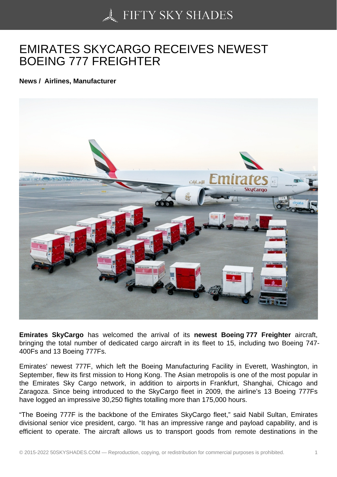## [EMIRATES SKYCARG](https://50skyshades.com)O RECEIVES NEWEST BOEING 777 FREIGHTER

News / Airlines, Manufacturer

Emirates SkyCargo has welcomed the arrival of its newest Boeing 777 Freighter aircraft, bringing the total number of dedicated cargo aircraft in its fleet to 15, including two Boeing 747- 400Fs and 13 Boeing 777Fs.

Emirates' newest 777F, which left the Boeing Manufacturing Facility in Everett, Washington, in September, flew its first mission to Hong Kong. The Asian metropolis is one of the most popular in the Emirates Sky Cargo network, in addition to airports in Frankfurt, Shanghai, Chicago and Zaragoza. Since being introduced to the SkyCargo fleet in 2009, the airline's 13 Boeing 777Fs have logged an impressive 30,250 flights totalling more than 175,000 hours.

"The Boeing 777F is the backbone of the Emirates SkyCargo fleet," said Nabil Sultan, Emirates divisional senior vice president, cargo. "It has an impressive range and payload capability, and is efficient to operate. The aircraft allows us to transport goods from remote destinations in the